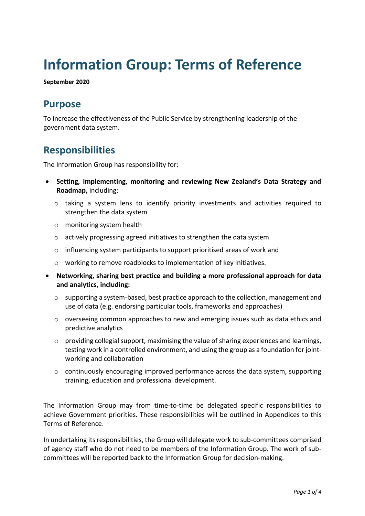# **Information Group: Terms of Reference**

**September 2020**

## **Purpose**

To increase the effectiveness of the Public Service by strengthening leadership of the government data system.

## **Responsibilities**

The Information Group has responsibility for:

- **Setting, implementing, monitoring and reviewing New Zealand's Data Strategy and Roadmap,** including:
	- o taking a system lens to identify priority investments and activities required to strengthen the data system
	- o monitoring system health
	- o actively progressing agreed initiatives to strengthen the data system
	- o influencing system participants to support prioritised areas of work and
	- o working to remove roadblocks to implementation of key initiatives.
- **Networking, sharing best practice and building a more professional approach for data and analytics, including:**
	- $\circ$  supporting a system-based, best practice approach to the collection, management and use of data (e.g. endorsing particular tools, frameworks and approaches)
	- $\circ$  overseeing common approaches to new and emerging issues such as data ethics and predictive analytics
	- o providing collegial support, maximising the value of sharing experiences and learnings, testing work in a controlled environment, and using the group as a foundation for jointworking and collaboration
	- $\circ$  continuously encouraging improved performance across the data system, supporting training, education and professional development.

The Information Group may from time-to-time be delegated specific responsibilities to achieve Government priorities. These responsibilities will be outlined in Appendices to this Terms of Reference.

In undertaking its responsibilities, the Group will delegate work to sub-committees comprised of agency staff who do not need to be members of the Information Group. The work of subcommittees will be reported back to the Information Group for decision-making.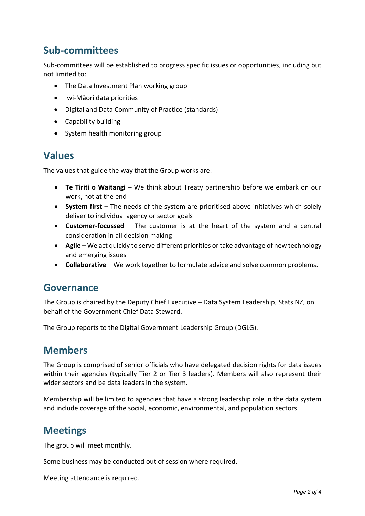## **Sub-committees**

Sub-committees will be established to progress specific issues or opportunities, including but not limited to:

- The Data Investment Plan working group
- Iwi-Māori data priorities
- Digital and Data Community of Practice (standards)
- Capability building
- System health monitoring group

#### **Values**

The values that guide the way that the Group works are:

- **Te Tiriti o Waitangi** We think about Treaty partnership before we embark on our work, not at the end
- **System first** The needs of the system are prioritised above initiatives which solely deliver to individual agency or sector goals
- **Customer-focussed**  The customer is at the heart of the system and a central consideration in all decision making
- **Agile**  We act quickly to serve different priorities or take advantage of new technology and emerging issues
- **Collaborative** We work together to formulate advice and solve common problems.

#### **Governance**

The Group is chaired by the Deputy Chief Executive – Data System Leadership, Stats NZ, on behalf of the Government Chief Data Steward.

The Group reports to the Digital Government Leadership Group (DGLG).

#### **Members**

The Group is comprised of senior officials who have delegated decision rights for data issues within their agencies (typically Tier 2 or Tier 3 leaders). Members will also represent their wider sectors and be data leaders in the system.

Membership will be limited to agencies that have a strong leadership role in the data system and include coverage of the social, economic, environmental, and population sectors.

### **Meetings**

The group will meet monthly.

Some business may be conducted out of session where required.

Meeting attendance is required.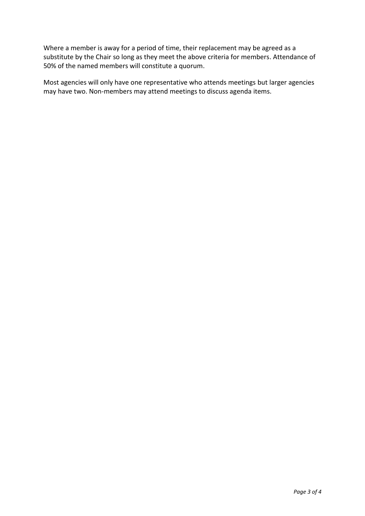Where a member is away for a period of time, their replacement may be agreed as a substitute by the Chair so long as they meet the above criteria for members. Attendance of 50% of the named members will constitute a quorum.

Most agencies will only have one representative who attends meetings but larger agencies may have two. Non-members may attend meetings to discuss agenda items.